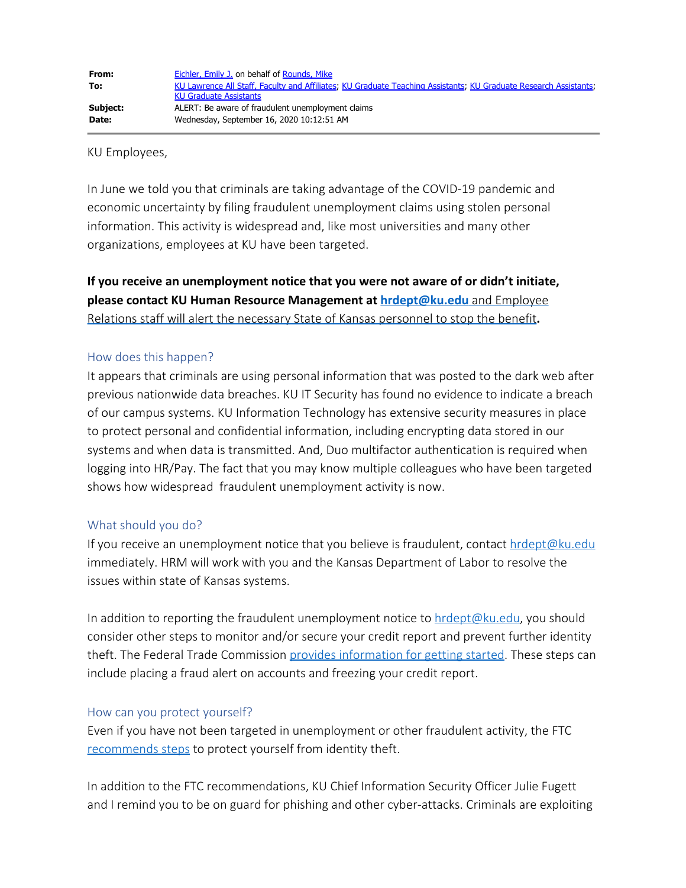KU Employees,

In June we told you that criminals are taking advantage of the COVID-19 pandemic and economic uncertainty by filing fraudulent unemployment claims using stolen personal information. This activity is widespread and, like most universities and many other organizations, employees at KU have been targeted.

**If you receive an unemployment notice that you were not aware of or didn't initiate, please contact KU Human Resource Management at [hrdept@ku.edu](mailto:hrdept@ku.edu)** and Employee Relations staff will alert the necessary State of Kansas personnel to stop the benefit**.**

## How does this happen?

It appears that criminals are using personal information that was posted to the dark web after previous nationwide data breaches. KU IT Security has found no evidence to indicate a breach of our campus systems. KU Information Technology has extensive security measures in place to protect personal and confidential information, including encrypting data stored in our systems and when data is transmitted. And, Duo multifactor authentication is required when logging into HR/Pay. The fact that you may know multiple colleagues who have been targeted shows how widespread fraudulent unemployment activity is now.

## What should you do?

If you receive an unemployment notice that you believe is fraudulent, contact  $h$ rdept@ku.edu immediately. HRM will work with you and the Kansas Department of Labor to resolve the issues within state of Kansas systems.

In addition to reporting the fraudulent unemployment notice to  $hrdept@ku.edu$ , you should consider other steps to monitor and/or secure your credit report and prevent further identity theft. The Federal Trade Commission [provides information for getting started](https://www.identitytheft.gov/). These steps can include placing a fraud alert on accounts and freezing your credit report.

## How can you protect yourself?

Even if you have not been targeted in unemployment or other fraudulent activity, the FTC [recommends steps](https://www.consumer.ftc.gov/topics/identity-theft) to protect yourself from identity theft.

In addition to the FTC recommendations, KU Chief Information Security Officer Julie Fugett and I remind you to be on guard for phishing and other cyber-attacks. Criminals are exploiting